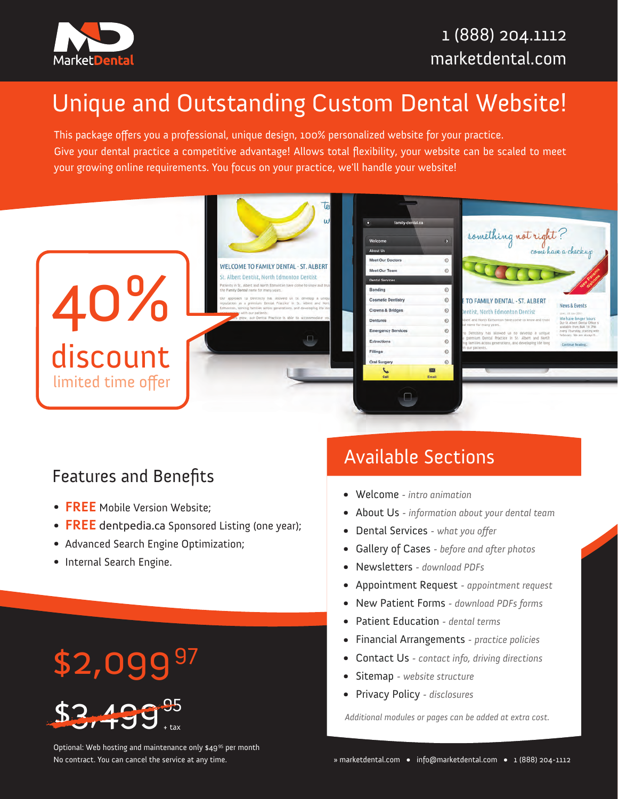

# Unique and Outstanding Custom Dental Website!

This package offers you a professional, unique design, 100% personalized website for your practice. Give your dental practice a competitive advantage! Allows total flexibility, your website can be scaled to meet your growing online requirements. You focus on your practice, we'll handle your website!



## Features and Benefits

- **FREE** Mobile Version Website; •
- **FREE** dentpedia.ca Sponsored Listing (one year);
- Advanced Search Engine Optimization;
- Internal Search Engine.

## Available Sections

- Welcome *- intro animation* •
- About Us *- information about your dental team* •
- Dental Services  *what you offer* •
- Gallery of Cases  *before and after photos* •
- Newsletters *- download PDFs* •
- Appointment Request  *appointment request* •
- New Patient Forms  *download PDFs forms* •
- Patient Education  *dental terms* •
- Financial Arrangements  *practice policies* •
- Contact Us  *contact info, driving directions* •
- Sitemap  *website structure* •
- Privacy Policy  *disclosures* •

*Additional modules or pages can be added at extra cost.*

\$2,09997



Optional: Web hosting and maintenance only \$49<sup>95</sup> per month No contract. You can cancel the service at any time.